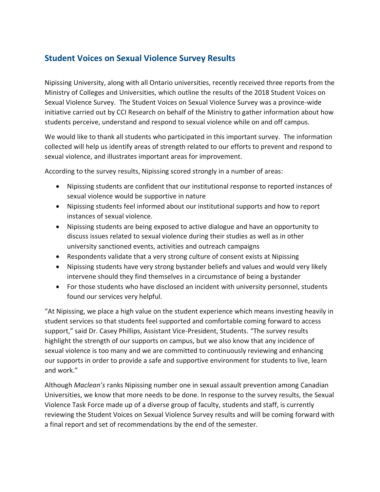## **Student Voices on Sexual Violence Survey Results**

Nipissing University, along with all Ontario universities, recently received three reports from the Ministry of Colleges and Universities, which outline the results of the 2018 Student Voices on Sexual Violence Survey. The Student Voices on Sexual Violence Survey was a province-wide initiative carried out by CCI Research on behalf of the Ministry to gather information about how students perceive, understand and respond to sexual violence while on and off campus.

We would like to thank all students who participated in this important survey. The information collected will help us identify areas of strength related to our efforts to prevent and respond to sexual violence, and illustrates important areas for improvement.

According to the survey results, Nipissing scored strongly in a number of areas:

- Nipissing students are confident that our institutional response to reported instances of sexual violence would be supportive in nature
- Nipissing students feel informed about our institutional supports and how to report instances of sexual violence.
- Nipissing students are being exposed to active dialogue and have an opportunity to discuss issues related to sexual violence during their studies as well as in other university sanctioned events, activities and outreach campaigns
- Respondents validate that a very strong culture of consent exists at Nipissing
- Nipissing students have very strong bystander beliefs and values and would very likely intervene should they find themselves in a circumstance of being a bystander
- For those students who have disclosed an incident with university personnel, students found our services very helpful.

"At Nipissing, we place a high value on the student experience which means investing heavily in student services so that students feel supported and comfortable coming forward to access support," said Dr. Casey Phillips, Assistant Vice-President, Students. "The survey results highlight the strength of our supports on campus, but we also know that any incidence of sexual violence is too many and we are committed to continuously reviewing and enhancing our supports in order to provide a safe and supportive environment for students to live, learn and work."

Although *Maclean's* ranks Nipissing number one in sexual assault prevention among Canadian Universities, we know that more needs to be done. In response to the survey results, the Sexual Violence Task Force made up of a diverse group of faculty, students and staff, is currently reviewing the Student Voices on Sexual Violence Survey results and will be coming forward with a final report and set of recommendations by the end of the semester.